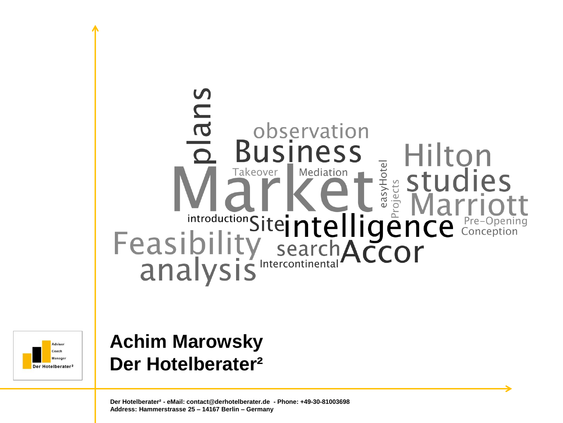## plans observation Hilton **INESS Example 14**<br>
Feasibility search ACCOr



## **Achim Marowsky Der Hotelberater²**

**Der Hotelberater² - eMail: contact@derhotelberater.de - Phone: +49-30-81003698 Address: Hammerstrasse 25 – 14167 Berlin – Germany**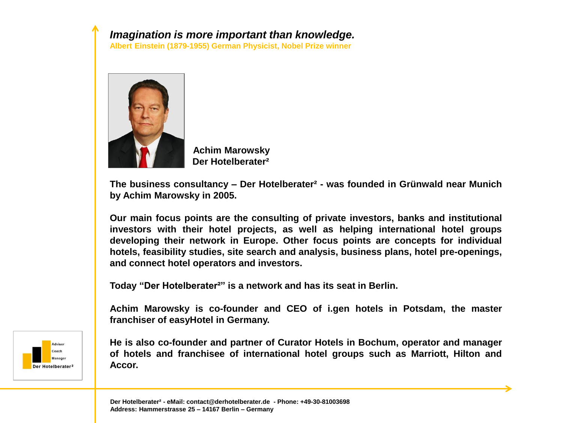## *Imagination is more important than knowledge.*

**Albert Einstein (1879-1955) German Physicist, Nobel Prize winner**



 **Achim Marowsky Der Hotelberater²**

**The business consultancy – Der Hotelberater² - was founded in Grünwald near Munich by Achim Marowsky in 2005.**

**Our main focus points are the consulting of private investors, banks and institutional investors with their hotel projects, as well as helping international hotel groups developing their network in Europe. Other focus points are concepts for individual hotels, feasibility studies, site search and analysis, business plans, hotel pre-openings, and connect hotel operators and investors.**

**Today "Der Hotelberater²" is a network and has its seat in Berlin.**

**Achim Marowsky is co-founder and CEO of i.gen hotels in Potsdam, the master franchiser of easyHotel in Germany.**



**He is also co-founder and partner of Curator Hotels in Bochum, operator and manager of hotels and franchisee of international hotel groups such as Marriott, Hilton and Accor.**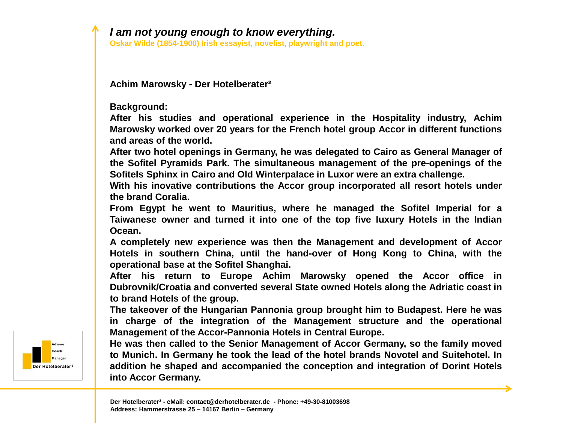**Oskar Wilde (1854-1900) Irish essayist, novelist, playwright and poet.**

**Achim Marowsky - Der Hotelberater²**

**Background:**

**After his studies and operational experience in the Hospitality industry, Achim Marowsky worked over 20 years for the French hotel group Accor in different functions and areas of the world.**

**After two hotel openings in Germany, he was delegated to Cairo as General Manager of the Sofitel Pyramids Park. The simultaneous management of the pre-openings of the Sofitels Sphinx in Cairo and Old Winterpalace in Luxor were an extra challenge.**

**With his inovative contributions the Accor group incorporated all resort hotels under the brand Coralia.**

**From Egypt he went to Mauritius, where he managed the Sofitel Imperial for a Taiwanese owner and turned it into one of the top five luxury Hotels in the Indian Ocean.**

**A completely new experience was then the Management and development of Accor Hotels in southern China, until the hand-over of Hong Kong to China, with the operational base at the Sofitel Shanghai.**

**After his return to Europe Achim Marowsky opened the Accor office in Dubrovnik/Croatia and converted several State owned Hotels along the Adriatic coast in to brand Hotels of the group.**

**The takeover of the Hungarian Pannonia group brought him to Budapest. Here he was in charge of the integration of the Management structure and the operational Management of the Accor-Pannonia Hotels in Central Europe.**

**He was then called to the Senior Management of Accor Germany, so the family moved to Munich. In Germany he took the lead of the hotel brands Novotel and Suitehotel. In addition he shaped and accompanied the conception and integration of Dorint Hotels into Accor Germany.**